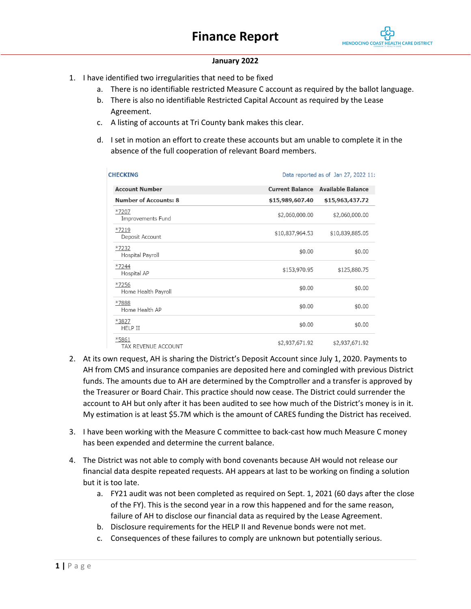

#### **January 2022**

- 1. I have identified two irregularities that need to be fixed
	- a. There is no identifiable restricted Measure C account as required by the ballot language.
	- b. There is also no identifiable Restricted Capital Account as required by the Lease Agreement.
	- c. A listing of accounts at Tri County bank makes this clear.
	- d. I set in motion an effort to create these accounts but am unable to complete it in the absence of the full cooperation of relevant Board members.

| <b>CHECKING</b>                     |                 | Data reported as of Jan 27, 2022 11: |
|-------------------------------------|-----------------|--------------------------------------|
| <b>Account Number</b>               |                 | Current Balance Available Balance    |
| <b>Number of Accounts: 8</b>        | \$15,989,607.40 | \$15,963,437.72                      |
| $*7207$<br>Improvements Fund        | \$2,060,000.00  | \$2,060,000.00                       |
| $*7219$<br>Deposit Account          | \$10,837,964.53 | \$10,839,885.05                      |
| *7232<br>Hospital Payroll           | \$0.00          | \$0.00                               |
| $*7244$<br>Hospital AP              | \$153,970.95    | \$125,880.75                         |
| *7256<br>Home Health Payroll        | \$0.00          | \$0.00                               |
| *7888<br>Home Health AP             | \$0.00          | \$0.00                               |
| *3827<br><b>HELP II</b>             | \$0.00          | \$0.00                               |
| *5861<br><b>TAX REVENUE ACCOUNT</b> | \$2,937,671.92  | \$2,937,671.92                       |

- 2. At its own request, AH is sharing the District's Deposit Account since July 1, 2020. Payments to AH from CMS and insurance companies are deposited here and comingled with previous District funds. The amounts due to AH are determined by the Comptroller and a transfer is approved by the Treasurer or Board Chair. This practice should now cease. The District could surrender the account to AH but only after it has been audited to see how much of the District's money is in it. My estimation is at least \$5.7M which is the amount of CARES funding the District has received.
- 3. I have been working with the Measure C committee to back-cast how much Measure C money has been expended and determine the current balance.
- 4. The District was not able to comply with bond covenants because AH would not release our financial data despite repeated requests. AH appears at last to be working on finding a solution but it is too late.
	- a. FY21 audit was not been completed as required on Sept. 1, 2021 (60 days after the close of the FY). This is the second year in a row this happened and for the same reason, failure of AH to disclose our financial data as required by the Lease Agreement.
	- b. Disclosure requirements for the HELP II and Revenue bonds were not met.
	- c. Consequences of these failures to comply are unknown but potentially serious.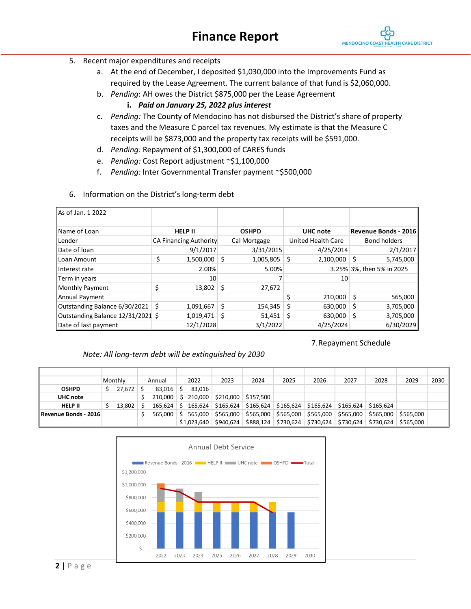7.Repayment Schedule

- 5. Recent major expenditures and receipts
	- a. At the end of December, I deposited \$1,030,000 into the Improvements Fund as required by the Lease Agreement. The current balance of that fund is \$2,060,000.
	- b. *Pending*: AH owes the District \$875,000 per the Lease Agreement
		- **i.** *Paid on January 25, 2022 plus interest*
	- c. *Pending:* The County of Mendocino has not disbursed the District's share of property taxes and the Measure C parcel tax revenues. My estimate is that the Measure C receipts will be \$873,000 and the property tax receipts will be \$591,000.
	- d. *Pending:* Repayment of \$1,300,000 of CARES funds
	- e. *Pending:* Cost Report adjustment ~\$1,100,000
	- f. *Pending:* Inter Governmental Transfer payment ~\$500,000

| As of Jan. 1 2022                 |                |                               |                 |                    |                      |                           |  |  |  |
|-----------------------------------|----------------|-------------------------------|-----------------|--------------------|----------------------|---------------------------|--|--|--|
| Name of Loan                      | <b>HELP II</b> |                               | <b>OSHPD</b>    | UHC note           | Revenue Bonds - 2016 |                           |  |  |  |
| Lender                            |                | <b>CA Financing Authority</b> | Cal Mortgage    | United Health Care |                      | Bond holders              |  |  |  |
| Date of Ioan                      |                | 9/1/2017                      | 3/31/2015       | 4/25/2014          |                      | 2/1/2017                  |  |  |  |
| Loan Amount                       | \$             | 1,500,000                     | \$<br>1,005,805 | \$<br>2,100,000    | Ś                    | 5,745,000                 |  |  |  |
| I Interest rate                   |                | 2.00%                         | 5.00%           |                    |                      | 3.25% 3%, then 5% in 2025 |  |  |  |
| Term in years                     |                | 10                            |                 | 10                 |                      |                           |  |  |  |
| Monthly Payment                   | \$             | 13,802                        | \$<br>27,672    |                    |                      |                           |  |  |  |
| Annual Payment                    |                |                               |                 | 210,000            | \$                   | 565,000                   |  |  |  |
| Outstanding Balance 6/30/2021     | Ŝ.             | 1,091,667                     | \$<br>154,345   | Ś<br>630,000       | Ś                    | 3,705,000                 |  |  |  |
| Outstanding Balance 12/31/2021 \$ |                | 1,019,471                     | \$<br>51,451    | 630,000<br>S       | S                    | 3,705,000                 |  |  |  |
| Date of last payment              |                | 12/1/2028                     | 3/1/2022        | 4/25/2024          |                      | 6/30/2029                 |  |  |  |

6. Information on the District's long-term debt

# *Note: All long-term debt will be extinguished by 2030*

|                      | Monthly | Annual      |    | 2022        | 2023                | 2024      | 2025                                            | 2026      | 2027                  | 2028      | 2029      | 2030 |
|----------------------|---------|-------------|----|-------------|---------------------|-----------|-------------------------------------------------|-----------|-----------------------|-----------|-----------|------|
| <b>OSHPD</b>         | 27,672  | $83,016$ \$ |    | 83.016      |                     |           |                                                 |           |                       |           |           |      |
| UHC note             |         | 210.000     | S. |             | 210,000   \$210,000 | \$157.500 |                                                 |           |                       |           |           |      |
| <b>HELP II</b>       | 13,802  | 165.624     |    | 165.624     |                     |           | $\frac{1}{2}$ \$165,624   \$165,624   \$165,624 |           | $$165,624$ $$165,624$ | \$165.624 |           |      |
| Revenue Bonds - 2016 |         | 565.000     |    | 565.000     | \$565.000           |           | \$565,000 \$565,000                             | \$565,000 | \$565.000             | \$565,000 | \$565.000 |      |
|                      |         |             |    | \$1,023,640 | \$940.624           | \$888,124 | \$730.624                                       |           | \$730,624 \$730,624   | \$730,624 | \$565.000 |      |

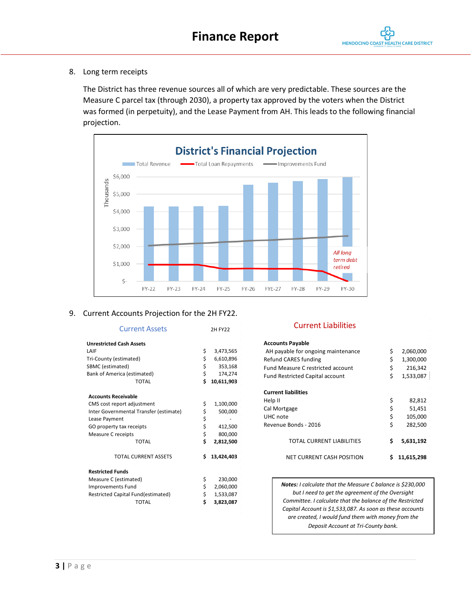## 8. Long term receipts

The District has three revenue sources all of which are very predictable. These sources are the Measure C parcel tax (through 2030), a property tax approved by the voters when the District was formed (in perpetuity), and the Lease Payment from AH. This leads to the following financial projection.



#### 9. Current Accounts Projection for the 2H FY22.

| <b>Current Assets</b>                  |          | <b>2H FY22</b> |
|----------------------------------------|----------|----------------|
| <b>Unrestricted Cash Assets</b>        |          |                |
| LAIF                                   | \$       | 3,473,565      |
| Tri-County (estimated)                 |          | 6,610,896      |
| SBMC (estimated)                       | \$\$\$   | 353,168        |
| Bank of America (estimated)            |          | 174,274        |
| <b>TOTAL</b>                           | \$       | 10,611,903     |
| <b>Accounts Receivable</b>             |          |                |
| CMS cost report adjustment             | \$       | 1,100,000      |
| Inter Governmental Transfer (estimate) | \$       | 500,000        |
| Lease Payment                          |          |                |
| GO property tax receipts               | \$<br>\$ | 412,500        |
| <b>Measure C receipts</b>              | \$       | 800,000        |
| TOTAL                                  | Ś        | 2,812,500      |
| <b>TOTAL CURRENT ASSETS</b>            | Ś        | 13,424,403     |
| <b>Restricted Funds</b>                |          |                |
| Measure C (estimated)                  | \$       | 230,000        |
| Improvements Fund                      |          | 2,060,000      |
| Restricted Capital Fund(estimated)     | \$<br>\$ | 1,533,087      |
| <b>TOTAL</b>                           | \$       | 3,823,087      |

# Current Liabilities

| Accounts Payable                         |                 |
|------------------------------------------|-----------------|
| AH payable for ongoing maintenance       | \$<br>2,060,000 |
| <b>Refund CARES funding</b>              | \$<br>1,300,000 |
| <b>Fund Measure C restricted account</b> | \$<br>216,342   |
| <b>Fund Restricted Capital account</b>   | \$<br>1,533,087 |
| Current liabilities                      |                 |
| Help II                                  | \$<br>82,812    |
| Cal Mortgage                             | \$<br>51,451    |
| UHC note                                 | \$<br>105,000   |
| Revenue Bonds - 2016                     | \$<br>282,500   |
| TOTAL CURRENT LIABILITIES                | \$<br>5,631,192 |
| NET CURRENT CASH POSITION                | 11,615,298      |

*Notes: I calculate that the Measure C balance is \$230,000 but I need to get the agreement of the Oversight Committee. I calculate that the balance of the Restricted Capital Account is \$1,533,087. As soon as these accounts are created, I would fund them with money from the Deposit Account at Tri-County bank.*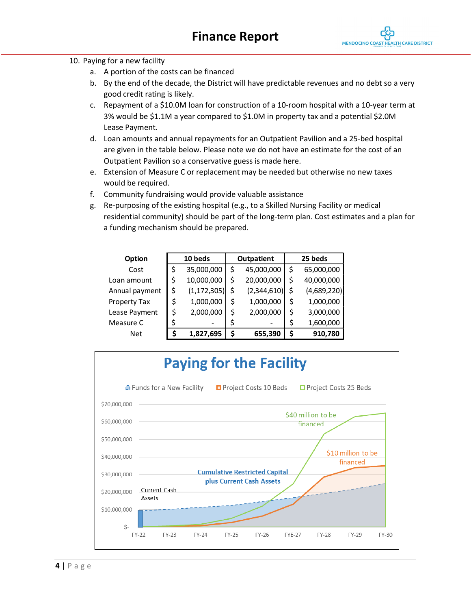

#### 10. Paying for a new facility

- a. A portion of the costs can be financed
- b. By the end of the decade, the District will have predictable revenues and no debt so a very good credit rating is likely.
- c. Repayment of a \$10.0M loan for construction of a 10-room hospital with a 10-year term at 3% would be \$1.1M a year compared to \$1.0M in property tax and a potential \$2.0M Lease Payment.
- d. Loan amounts and annual repayments for an Outpatient Pavilion and a 25-bed hospital are given in the table below. Please note we do not have an estimate for the cost of an Outpatient Pavilion so a conservative guess is made here.
- e. Extension of Measure C or replacement may be needed but otherwise no new taxes would be required.
- f. Community fundraising would provide valuable assistance
- g. Re-purposing of the existing hospital (e.g., to a Skilled Nursing Facility or medical residential community) should be part of the long-term plan. Cost estimates and a plan for a funding mechanism should be prepared.

| Option         | 10 beds             | Outpatient        | 25 beds |             |  |  |  |
|----------------|---------------------|-------------------|---------|-------------|--|--|--|
| Cost           | \$<br>35,000,000    | \$<br>45,000,000  | \$      | 65,000,000  |  |  |  |
| Loan amount    | \$<br>10,000,000    | \$<br>20,000,000  | \$      | 40,000,000  |  |  |  |
| Annual payment | \$<br>(1, 172, 305) | \$<br>(2,344,610) | \$      | (4,689,220) |  |  |  |
| Property Tax   | \$<br>1,000,000     | \$<br>1,000,000   | \$      | 1,000,000   |  |  |  |
| Lease Payment  | \$<br>2,000,000     | \$<br>2,000,000   | \$      | 3,000,000   |  |  |  |
| Measure C      | \$                  |                   | \$      | 1,600,000   |  |  |  |
| Net            | 1,827,695           | \$<br>655,390     | \$      | 910,780     |  |  |  |

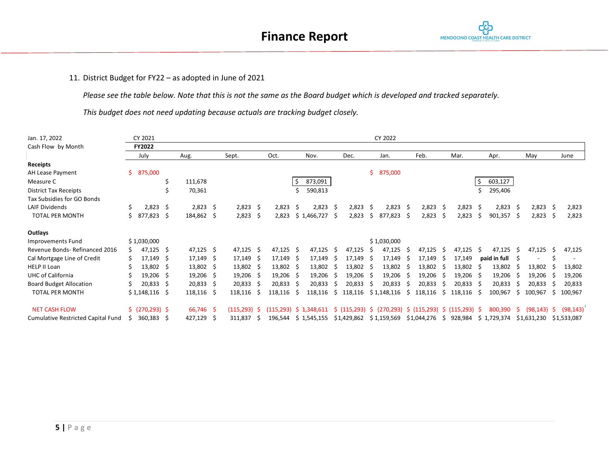

## 11. District Budget for FY22 – as adopted in June of 2021

*Please see the table below. Note that this is not the same as the Board budget which is developed and tracked separately.*

*This budget does not need updating because actuals are tracking budget closely.*

| Jan. 17, 2022                      | CY 2022<br>CY 2021 |                  |   |                  |    |                 |     |             |              |                                                                               |    |           |    |                         |    |                        |     |             |      |              |     |                |     |             |
|------------------------------------|--------------------|------------------|---|------------------|----|-----------------|-----|-------------|--------------|-------------------------------------------------------------------------------|----|-----------|----|-------------------------|----|------------------------|-----|-------------|------|--------------|-----|----------------|-----|-------------|
| Cash Flow by Month                 |                    | FY2022           |   |                  |    |                 |     |             |              |                                                                               |    |           |    |                         |    |                        |     |             |      |              |     |                |     |             |
|                                    |                    | July             |   | Aug.             |    | Sept.           |     | Oct.        |              | Nov.                                                                          |    | Dec.      |    | Jan.                    |    | Feb.                   |     | Mar.        |      | Apr.         |     | May            |     | June        |
| Receipts                           |                    |                  |   |                  |    |                 |     |             |              |                                                                               |    |           |    |                         |    |                        |     |             |      |              |     |                |     |             |
| AH Lease Payment                   |                    | \$875,000        |   |                  |    |                 |     |             |              |                                                                               |    |           |    | \$875,000               |    |                        |     |             |      |              |     |                |     |             |
| Measure C                          |                    |                  | S | 111,678          |    |                 |     |             | -\$          | 873,091                                                                       |    |           |    |                         |    |                        |     |             | \$   | 603,127      |     |                |     |             |
| <b>District Tax Receipts</b>       |                    |                  | Ś | 70,361           |    |                 |     |             |              | 590,813                                                                       |    |           |    |                         |    |                        |     |             |      | 295,406      |     |                |     |             |
| Tax Subsidies for GO Bonds         |                    |                  |   |                  |    |                 |     |             |              |                                                                               |    |           |    |                         |    |                        |     |             |      |              |     |                |     |             |
| <b>LAIF Dividends</b>              |                    | $2,823$ \$       |   | $2,823$ \$       |    | $2,823$ \$      |     | 2,823       | .S           | 2,823                                                                         | -S | 2,823     | -Ŝ | 2,823                   |    | 2,823                  | - S | 2,823       | - Ś  | $2,823$ \$   |     | 2,823          | -Ś  | 2,823       |
| <b>TOTAL PER MONTH</b>             |                    | 877,823 \$       |   | 184,862 \$       |    | 2,823           | -S  | 2,823       |              | \$1,466,727                                                                   | -S | 2,823     | Ŝ. | 877,823                 | -S | 2,823                  | -S  | 2,823       | Ŝ.   | $901,357$ \$ |     | 2,823          | -\$ | 2,823       |
| Outlays                            |                    |                  |   |                  |    |                 |     |             |              |                                                                               |    |           |    |                         |    |                        |     |             |      |              |     |                |     |             |
| Improvements Fund                  |                    | \$1,030,000      |   |                  |    |                 |     |             |              |                                                                               |    |           |    | \$1,030,000             |    |                        |     |             |      |              |     |                |     |             |
| Revenue Bonds-Refinanced 2016      |                    | $47,125$ \$      |   | $47,125$ \$      |    | $47,125$ \$     |     | $47,125$ \$ |              | 47,125                                                                        | -S | 47,125    | -S | 47,125                  |    | 47,125                 | -S  | 47,125      | - \$ | 47,125       | - S | 47,125         | -S  | 47,125      |
| Cal Mortgage Line of Credit        |                    | $17,149$ \$      |   | $17,149$ \$      |    | 17,149          |     | 17,149      | - S          | 17,149                                                                        | -S | 17,149    | -S | 17,149                  |    | 17,149                 | -S  | 17,149      |      | paid in full |     |                |     |             |
| <b>HELP II Loan</b>                |                    | 13,802 \$        |   | $13,802 \quad $$ |    | 13,802 \$       |     | 13,802 \$   |              | 13,802                                                                        | -S | 13,802 \$ |    | 13,802                  |    | 13,802                 | -5  | 13,802      | - S  | 13,802       | -S  | 13,802         |     | 13,802      |
| <b>UHC of California</b>           |                    | $19,206$ \$      |   | $19,206$ \$      |    | 19,206          |     | $19,206$ \$ |              | 19,206                                                                        | -S | 19,206    | -S | 19,206                  |    | 19,206                 | - S | $19,206$ \$ |      | 19,206       | -5  | 19,206         |     | 19,206      |
| <b>Board Budget Allocation</b>     |                    | $20,833$ \$      |   | $20,833$ \$      |    | $20,833$ \$     |     | 20,833      | -S           | 20,833                                                                        | -S | 20,833    | S  | 20,833                  |    | 20,833                 | -S  | 20,833      | - S  | 20,833       |     | 20,833         |     | 20,833      |
| <b>TOTAL PER MONTH</b>             |                    | $$1,148,116$ \$  |   | 118,116 \$       |    | 118,116         | -S  | 118,116     | <sub>S</sub> | 118,116                                                                       | -S | 118,116   |    | \$1,148,116             | -S | 118,116                | S.  | 118,116     | -S   | 100,967      | S   | 100,967        | S   | 100,967     |
| <b>NET CASH FLOW</b>               |                    | \$ (270, 293) \$ |   | 66,746 \$        |    | $(115, 293)$ \$ |     |             |              | (115,293) \$ 1,348,611 \$ (115,293) \$ (270,293) \$ (115,293) \$ (115,293) \$ |    |           |    |                         |    |                        |     |             |      | 800,390      | S.  | $(98, 143)$ \$ |     | (98, 143)   |
| Cumulative Restricted Capital Fund | S.                 | 360,383 \$       |   | 427,129          | -S | 311,837         | - S |             |              | 196,544 \$1,545,155                                                           |    |           |    | \$1,429,862 \$1,159,569 |    | \$1,044,276 \$ 928,984 |     |             |      | \$1,729,374  |     | \$1,631,230    |     | \$1,533,087 |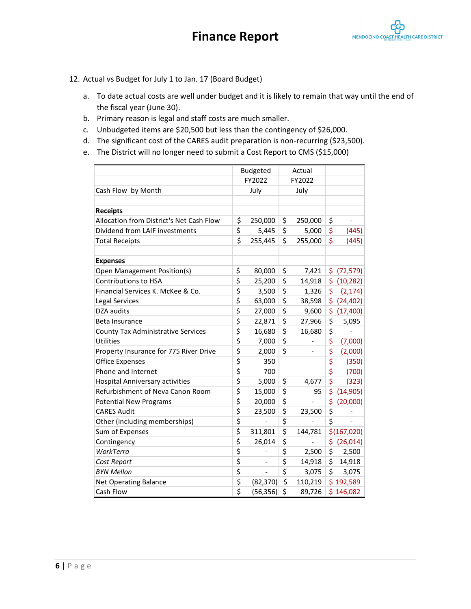- 12. Actual vs Budget for July 1 to Jan. 17 (Board Budget)
	- a. To date actual costs are well under budget and it is likely to remain that way until the end of the fiscal year (June 30).
	- b. Primary reason is legal and staff costs are much smaller.
	- c. Unbudgeted items are \$20,500 but less than the contingency of \$26,000.
	- d. The significant cost of the CARES audit preparation is non-recurring (\$23,500).
	- e. The District will no longer need to submit a Cost Report to CMS (\$15,000)

|                                           | Budgeted             | Actual        |                                |
|-------------------------------------------|----------------------|---------------|--------------------------------|
|                                           | FY2022               | FY2022        |                                |
| Cash Flow by Month                        | July                 | July          |                                |
|                                           |                      |               |                                |
| <b>Receipts</b>                           |                      |               |                                |
| Allocation from District's Net Cash Flow  | \$<br>250,000        | \$<br>250,000 | \$<br>$\overline{\phantom{0}}$ |
| Dividend from LAIF investments            | \$<br>5,445          | \$<br>5,000   | \$<br>(445)                    |
| <b>Total Receipts</b>                     | \$<br>255,445        | \$<br>255,000 | \$<br>(445)                    |
|                                           |                      |               |                                |
| <b>Expenses</b>                           |                      |               |                                |
| Open Management Position(s)               | \$<br>80,000         | \$<br>7,421   | \$<br>(72, 579)                |
| Contributions to HSA                      | \$<br>25,200         | \$<br>14,918  | \$<br>(10, 282)                |
| Financial Services K. McKee & Co.         | \$<br>3,500          | \$<br>1,326   | \$<br>(2, 174)                 |
| Legal Services                            | \$<br>63,000         | \$<br>38,598  | \$<br>(24, 402)                |
| DZA audits                                | \$<br>27,000         | \$<br>9,600   | \$<br>(17,400)                 |
| Beta Insurance                            | \$<br>22,871         | \$<br>27,966  | \$<br>5,095                    |
| <b>County Tax Administrative Services</b> | \$<br>16,680         | \$<br>16,680  | \$                             |
| Utilities                                 | \$<br>7,000          | \$            | \$<br>(7,000)                  |
| Property Insurance for 775 River Drive    | \$<br>2,000          | \$            | \$<br>(2,000)                  |
| <b>Office Expenses</b>                    | \$<br>350            |               | \$<br>(350)                    |
| Phone and Internet                        | \$<br>700            |               | \$<br>(700)                    |
| <b>Hospital Anniversary activities</b>    | \$<br>5,000          | \$<br>4,677   | \$<br>(323)                    |
| Refurbishment of Neva Canon Room          | \$<br>15,000         | \$<br>95      | \$<br>(14, 905)                |
| <b>Potential New Programs</b>             | \$<br>20,000         | \$            | \$<br>(20,000)                 |
| <b>CARES Audit</b>                        | \$<br>23,500         | \$<br>23,500  | \$                             |
| Other (including memberships)             | \$<br>$\overline{a}$ | \$            | \$                             |
| Sum of Expenses                           | \$<br>311,801        | \$<br>144,781 | \$(167,020)                    |
| Contingency                               | \$<br>26,014         | \$            | \$<br>(26, 014)                |
| WorkTerra                                 | \$                   | \$<br>2,500   | \$<br>2,500                    |
| Cost Report                               | \$                   | \$<br>14,918  | \$<br>14,918                   |
| <b>BYN Mellon</b>                         | \$<br>$\overline{a}$ | \$<br>3,075   | \$<br>3,075                    |
| <b>Net Operating Balance</b>              | \$<br>(82, 370)      | \$<br>110,219 | \$192,589                      |
| Cash Flow                                 | \$<br>(56, 356)      | \$<br>89,726  | \$146,082                      |